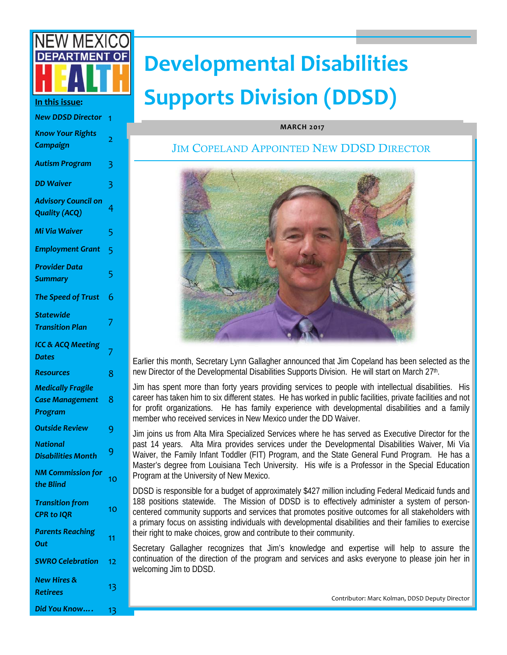

| <b>New DDSD Director</b>                                      | 1  |
|---------------------------------------------------------------|----|
| <b>Know Your Rights</b><br>Campaign                           | 2  |
| <b>Autism Program</b>                                         | 3  |
| <b>DD Waiver</b>                                              | 3  |
| <b>Advisory Council on</b><br><b>Quality (ACQ)</b>            | 4  |
| Mi Via Waiver                                                 | 5  |
| <b>Employment Grant</b>                                       | 5  |
| <b>Provider Data</b><br><b>Summary</b>                        | 5  |
| The Speed of Trust                                            | 6  |
| <b>Statewide</b><br><b>Transition Plan</b>                    | 7  |
| <b>ICC &amp; ACQ Meeting</b><br><b>Dates</b>                  | 7  |
| Resources                                                     | 8  |
| <b>Medically Fragile</b><br><b>Case Management</b><br>Program | 8  |
| <b>Outside Review</b>                                         | 9  |
| <b>National</b><br><b>Disabilities Month</b>                  | 9  |
| <b>NM Commission for</b><br>the Blind                         | 10 |
| <b>Transition from</b><br><b>CPR to IQR</b>                   | 10 |
| <b>Parents Reaching</b><br>Out                                | 11 |
| <b>SWRO Celebration</b>                                       | 12 |
| <b>New Hires &amp;</b><br><b>Retirees</b>                     | 13 |
| Did You Know                                                  | 13 |

# **Developmental Disabilities In this issue:** Supports Division (DDSD)

#### **MARCH 2017**

#### JIM COPELAND APPOINTED NEW DDSD DIRECTOR



Earlier this month, Secretary Lynn Gallagher announced that Jim Copeland has been selected as the new Director of the Developmental Disabilities Supports Division. He will start on March 27<sup>th</sup>.

Jim has spent more than forty years providing services to people with intellectual disabilities. His career has taken him to six different states. He has worked in public facilities, private facilities and not for profit organizations. He has family experience with developmental disabilities and a family member who received services in New Mexico under the DD Waiver.

Jim joins us from Alta Mira Specialized Services where he has served as Executive Director for the past 14 years. Alta Mira provides services under the Developmental Disabilities Waiver, Mi Via Waiver, the Family Infant Toddler (FIT) Program, and the State General Fund Program. He has a Master's degree from Louisiana Tech University. His wife is a Professor in the Special Education Program at the University of New Mexico.

DDSD is responsible for a budget of approximately \$427 million including Federal Medicaid funds and 188 positions statewide. The Mission of DDSD is to effectively administer a system of personcentered community supports and services that promotes positive outcomes for all stakeholders with a primary focus on assisting individuals with developmental disabilities and their families to exercise their right to make choices, grow and contribute to their community.

Secretary Gallagher recognizes that Jim's knowledge and expertise will help to assure the continuation of the direction of the program and services and asks everyone to please join her in welcoming Jim to DDSD.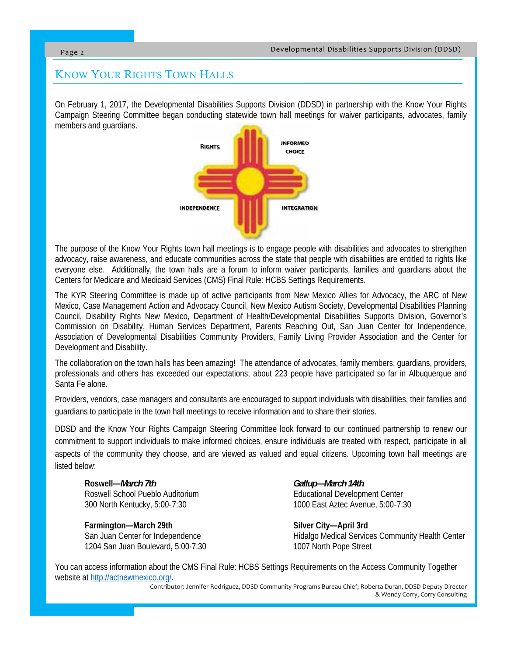## KNOW YOUR RIGHTS TOWN HALLS

On February 1, 2017, the Developmental Disabilities Supports Division (DDSD) in partnership with the Know Your Rights Campaign Steering Committee began conducting statewide town hall meetings for waiver participants, advocates, family members and guardians.



The purpose of the Know Your Rights town hall meetings is to engage people with disabilities and advocates to strengthen advocacy, raise awareness, and educate communities across the state that people with disabilities are entitled to rights like everyone else. Additionally, the town halls are a forum to inform waiver participants, families and guardians about the Centers for Medicare and Medicaid Services (CMS) Final Rule: HCBS Settings Requirements.

The KYR Steering Committee is made up of active participants from New Mexico Allies for Advocacy, the ARC of New Mexico, Case Management Action and Advocacy Council, New Mexico Autism Society, Developmental Disabilities Planning Council, Disability Rights New Mexico, Department of Health/Developmental Disabilities Supports Division, Governor's Commission on Disability, Human Services Department, Parents Reaching Out, San Juan Center for Independence, Association of Developmental Disabilities Community Providers, Family Living Provider Association and the Center for Development and Disability.

The collaboration on the town halls has been amazing! The attendance of advocates, family members, guardians, providers, professionals and others has exceeded our expectations; about 223 people have participated so far in Albuquerque and Santa Fe alone.

Providers, vendors, case managers and consultants are encouraged to support individuals with disabilities, their families and guardians to participate in the town hall meetings to receive information and to share their stories.

DDSD and the Know Your Rights Campaign Steering Committee look forward to our continued partnership to renew our commitment to support individuals to make informed choices, ensure individuals are treated with respect, participate in all aspects of the community they choose, and are viewed as valued and equal citizens. Upcoming town hall meetings are listed below:

Roswell—*March 7th* Gallup—March 14th Roswell School Pueblo Auditorium **Educational Development Center** 

**Farmington—March 29th Silver City—April 3rd Silver City—April 3rd City** 1204 San Juan Boulevard**,** 5:00-7:30 1007 North Pope Street

300 North Kentucky, 5:00‐7:30 1000 East Aztec Avenue, 5:00‐7:30

San Juan Center for Independence **Hidalgo Medical Services Community Health Center** 

You can access information about the CMS Final Rule: HCBS Settings Requirements on the Access Community Together website at http://actnewmexico.org/.

Contributor: Jennifer Rodriguez, DDSD Community Programs Bureau Chief; Roberta Duran, DDSD Deputy Director & Wendy Corry, Corry Consulting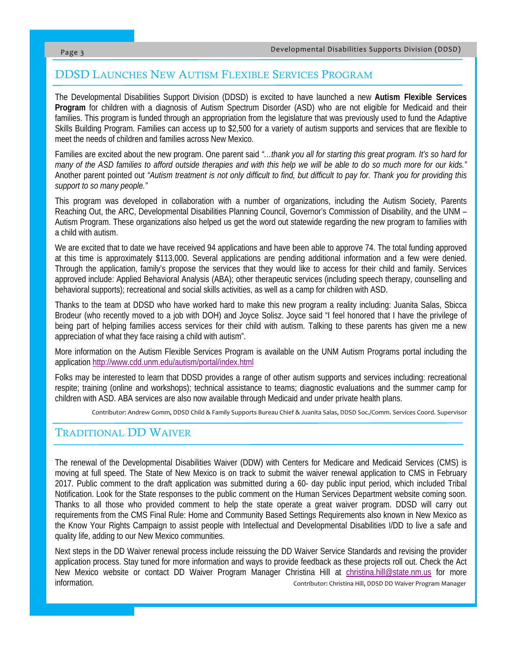### DDSD LAUNCHES NEW AUTISM FLEXIBLE SERVICES PROGRAM

The Developmental Disabilities Support Division (DDSD) is excited to have launched a new **Autism Flexible Services Program** for children with a diagnosis of Autism Spectrum Disorder (ASD) who are not eligible for Medicaid and their families. This program is funded through an appropriation from the legislature that was previously used to fund the Adaptive Skills Building Program. Families can access up to \$2,500 for a variety of autism supports and services that are flexible to meet the needs of children and families across New Mexico.

Families are excited about the new program. One parent said *"…thank you all for starting this great program. It's so hard for many of the ASD families to afford outside therapies and with this help we will be able to do so much more for our kids."*  Another parent pointed out *"Autism treatment is not only difficult to find, but difficult to pay for. Thank you for providing this support to so many people."* 

This program was developed in collaboration with a number of organizations, including the Autism Society, Parents Reaching Out, the ARC, Developmental Disabilities Planning Council, Governor's Commission of Disability, and the UNM – Autism Program. These organizations also helped us get the word out statewide regarding the new program to families with a child with autism.

We are excited that to date we have received 94 applications and have been able to approve 74. The total funding approved at this time is approximately \$113,000. Several applications are pending additional information and a few were denied. Through the application, family's propose the services that they would like to access for their child and family. Services approved include: Applied Behavioral Analysis (ABA); other therapeutic services (including speech therapy, counselling and behavioral supports); recreational and social skills activities, as well as a camp for children with ASD.

Thanks to the team at DDSD who have worked hard to make this new program a reality including: Juanita Salas, Sbicca Brodeur (who recently moved to a job with DOH) and Joyce Solisz. Joyce said "I feel honored that I have the privilege of being part of helping families access services for their child with autism. Talking to these parents has given me a new appreciation of what they face raising a child with autism".

More information on the Autism Flexible Services Program is available on the UNM Autism Programs portal including the application http://www.cdd.unm.edu/autism/portal/index.html

Folks may be interested to learn that DDSD provides a range of other autism supports and services including: recreational respite; training (online and workshops); technical assistance to teams; diagnostic evaluations and the summer camp for children with ASD. ABA services are also now available through Medicaid and under private health plans.

Contributor: Andrew Gomm, DDSD Child & Family Supports Bureau Chief & Juanita Salas, DDSD Soc./Comm. Services Coord. Supervisor

### TRADITIONAL DD WAIVER

The renewal of the Developmental Disabilities Waiver (DDW) with Centers for Medicare and Medicaid Services (CMS) is moving at full speed. The State of New Mexico is on track to submit the waiver renewal application to CMS in February 2017. Public comment to the draft application was submitted during a 60- day public input period, which included Tribal Notification. Look for the State responses to the public comment on the Human Services Department website coming soon. Thanks to all those who provided comment to help the state operate a great waiver program. DDSD will carry out requirements from the CMS Final Rule: Home and Community Based Settings Requirements also known in New Mexico as the Know Your Rights Campaign to assist people with Intellectual and Developmental Disabilities I/DD to live a safe and quality life, adding to our New Mexico communities.

Next steps in the DD Waiver renewal process include reissuing the DD Waiver Service Standards and revising the provider application process. Stay tuned for more information and ways to provide feedback as these projects roll out. Check the Act New Mexico website or contact DD Waiver Program Manager Christina Hill at christina.hill@state.nm.us for more information. Contributor: Christina Hill, DDSD DD Waiver Program Manager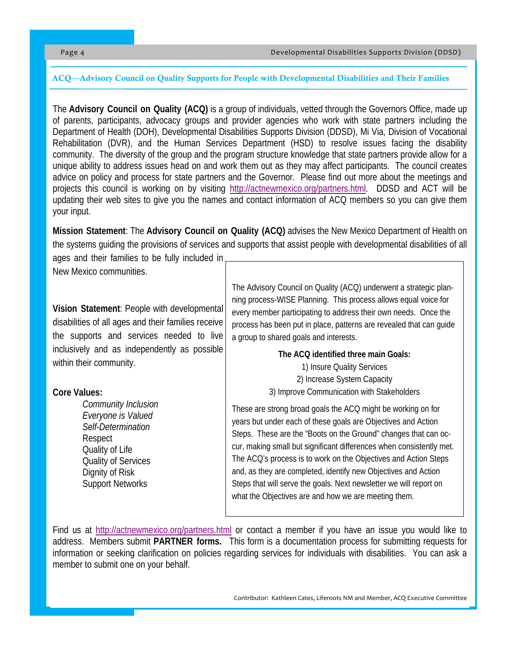#### ACQ—Advisory Council on Quality Supports for People with Developmental Disabilities and Their Families

The **Advisory Council on Quality (ACQ)** is a group of individuals, vetted through the Governors Office, made up of parents, participants, advocacy groups and provider agencies who work with state partners including the Department of Health (DOH), Developmental Disabilities Supports Division (DDSD), Mi Via, Division of Vocational Rehabilitation (DVR), and the Human Services Department (HSD) to resolve issues facing the disability community. The diversity of the group and the program structure knowledge that state partners provide allow for a unique ability to address issues head on and work them out as they may affect participants. The council creates advice on policy and process for state partners and the Governor. Please find out more about the meetings and projects this council is working on by visiting http://actnewmexico.org/partners.html. DDSD and ACT will be updating their web sites to give you the names and contact information of ACQ members so you can give them your input.

**Mission Statement**: The **Advisory Council on Quality (ACQ)** advises the New Mexico Department of Health on the systems guiding the provisions of services and supports that assist people with developmental disabilities of all

ages and their families to be fully included in New Mexico communities.

**Vision Statement**: People with developmental disabilities of all ages and their families receive the supports and services needed to live inclusively and as independently as possible within their community.

#### **Core Values:**

 *Community Inclusion Everyone is Valued Self-Determination* Respect Quality of Life Quality of Services Dignity of Risk Support Networks

The Advisory Council on Quality (ACQ) underwent a strategic planning process-WISE Planning. This process allows equal voice for every member participating to address their own needs. Once the process has been put in place, patterns are revealed that can guide a group to shared goals and interests.

**The ACQ identified three main Goals:** 

1) Insure Quality Services 2) Increase System Capacity 3) Improve Communication with Stakeholders

These are strong broad goals the ACQ might be working on for years but under each of these goals are Objectives and Action Steps. These are the "Boots on the Ground" changes that can occur, making small but significant differences when consistently met. The ACQ's process is to work on the Objectives and Action Steps and, as they are completed, identify new Objectives and Action Steps that will serve the goals. Next newsletter we will report on what the Objectives are and how we are meeting them.

Find us at http://actnewmexico.org/partners.html or contact a member if you have an issue you would like to address. Members submit **PARTNER forms.** This form is a documentation process for submitting requests for information or seeking clarification on policies regarding services for individuals with disabilities. You can ask a member to submit one on your behalf.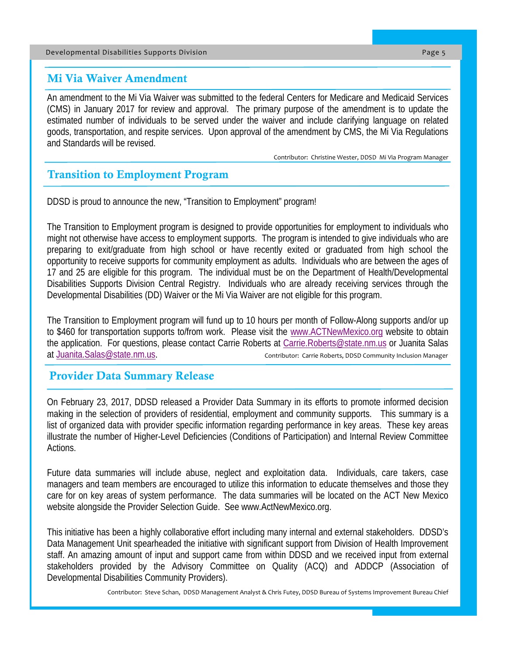#### Developmental Disabilities Supports Division Page 5

#### Mi Via Waiver Amendment

An amendment to the Mi Via Waiver was submitted to the federal Centers for Medicare and Medicaid Services (CMS) in January 2017 for review and approval. The primary purpose of the amendment is to update the estimated number of individuals to be served under the waiver and include clarifying language on related goods, transportation, and respite services. Upon approval of the amendment by CMS, the Mi Via Regulations and Standards will be revised.

Contributor: Christine Wester, DDSD Mi Via Program Manager

## Transition to Employment Program

DDSD is proud to announce the new, "Transition to Employment" program!

The Transition to Employment program is designed to provide opportunities for employment to individuals who might not otherwise have access to employment supports. The program is intended to give individuals who are preparing to exit/graduate from high school or have recently exited or graduated from high school the opportunity to receive supports for community employment as adults. Individuals who are between the ages of 17 and 25 are eligible for this program. The individual must be on the Department of Health/Developmental Disabilities Supports Division Central Registry. Individuals who are already receiving services through the Developmental Disabilities (DD) Waiver or the Mi Via Waiver are not eligible for this program.

The Transition to Employment program will fund up to 10 hours per month of Follow-Along supports and/or up to \$460 for transportation supports to/from work. Please visit the www.ACTNewMexico.org website to obtain the application. For questions, please contact Carrie Roberts at Carrie.Roberts@state.nm.us or Juanita Salas at Juanita.Salas@state.nm.us. Contributor: Carrie Roberts, DDSD Community Inclusion Manager

### Provider Data Summary Release

On February 23, 2017, DDSD released a Provider Data Summary in its efforts to promote informed decision making in the selection of providers of residential, employment and community supports. This summary is a list of organized data with provider specific information regarding performance in key areas. These key areas illustrate the number of Higher-Level Deficiencies (Conditions of Participation) and Internal Review Committee Actions.

Future data summaries will include abuse, neglect and exploitation data. Individuals, care takers, case managers and team members are encouraged to utilize this information to educate themselves and those they care for on key areas of system performance. The data summaries will be located on the ACT New Mexico website alongside the Provider Selection Guide. See www.ActNewMexico.org.

This initiative has been a highly collaborative effort including many internal and external stakeholders. DDSD's Data Management Unit spearheaded the initiative with significant support from Division of Health Improvement staff. An amazing amount of input and support came from within DDSD and we received input from external stakeholders provided by the Advisory Committee on Quality (ACQ) and ADDCP (Association of Developmental Disabilities Community Providers).

Contributor: Steve Schan, DDSD Management Analyst & Chris Futey, DDSD Bureau of Systems Improvement Bureau Chief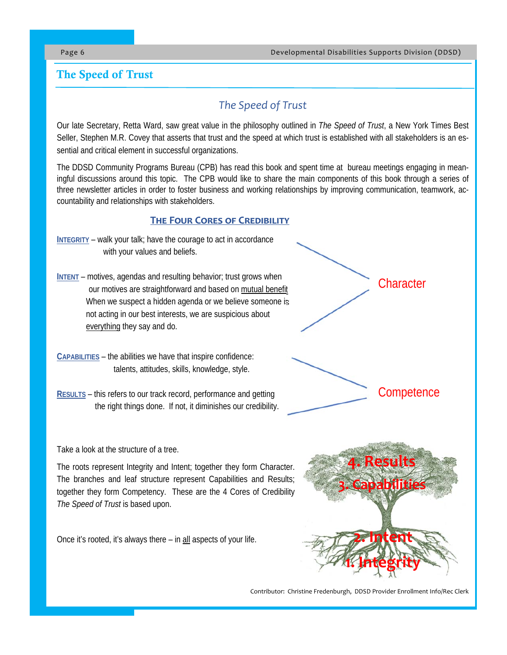## The Speed of Trust

# *The Speed of Trust*

Our late Secretary, Retta Ward, saw great value in the philosophy outlined in *The Speed of Trust*, a New York Times Best Seller, Stephen M.R. Covey that asserts that trust and the speed at which trust is established with all stakeholders is an essential and critical element in successful organizations.

The DDSD Community Programs Bureau (CPB) has read this book and spent time at bureau meetings engaging in meaningful discussions around this topic. The CPB would like to share the main components of this book through a series of three newsletter articles in order to foster business and working relationships by improving communication, teamwork, accountability and relationships with stakeholders.

#### **THE FOUR CORES OF CREDIBILITY**

- **INTEGRITY** walk your talk; have the courage to act in accordance with your values and beliefs.
- **INTENT** motives, agendas and resulting behavior; trust grows when our motives are straightforward and based on mutual benefit When we suspect a hidden agenda or we believe someone is not acting in our best interests, we are suspicious about everything they say and do.
- **CAPABILITIES** the abilities we have that inspire confidence: talents, attitudes, skills, knowledge, style.
- **RESULTS** this refers to our track record, performance and getting the right things done. If not, it diminishes our credibility.

Take a look at the structure of a tree.

The roots represent Integrity and Intent; together they form Character. The branches and leaf structure represent Capabilities and Results; together they form Competency. These are the 4 Cores of Credibility *The Speed of Trust* is based upon.

Once it's rooted, it's always there – in all aspects of your life.



Contributor: Christine Fredenburgh, DDSD Provider Enrollment Info/Rec Clerk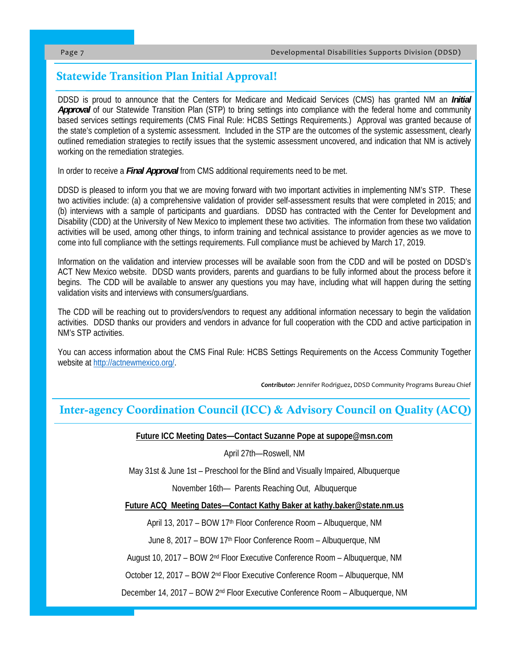## Statewide Transition Plan Initial Approval!

DDSD is proud to announce that the Centers for Medicare and Medicaid Services (CMS) has granted NM an *Initial Approval* of our Statewide Transition Plan (STP) to bring settings into compliance with the federal home and community based services settings requirements (CMS Final Rule: HCBS Settings Requirements.) Approval was granted because of the state's completion of a systemic assessment. Included in the STP are the outcomes of the systemic assessment, clearly outlined remediation strategies to rectify issues that the systemic assessment uncovered, and indication that NM is actively working on the remediation strategies.

In order to receive a *Final Approval* from CMS additional requirements need to be met.

DDSD is pleased to inform you that we are moving forward with two important activities in implementing NM's STP. These two activities include: (a) a comprehensive validation of provider self-assessment results that were completed in 2015; and (b) interviews with a sample of participants and guardians. DDSD has contracted with the Center for Development and Disability (CDD) at the University of New Mexico to implement these two activities. The information from these two validation activities will be used, among other things, to inform training and technical assistance to provider agencies as we move to come into full compliance with the settings requirements. Full compliance must be achieved by March 17, 2019.

Information on the validation and interview processes will be available soon from the CDD and will be posted on DDSD's ACT New Mexico website. DDSD wants providers, parents and guardians to be fully informed about the process before it begins. The CDD will be available to answer any questions you may have, including what will happen during the setting validation visits and interviews with consumers/guardians.

The CDD will be reaching out to providers/vendors to request any additional information necessary to begin the validation activities. DDSD thanks our providers and vendors in advance for full cooperation with the CDD and active participation in NM's STP activities.

You can access information about the CMS Final Rule: HCBS Settings Requirements on the Access Community Together website at http://actnewmexico.org/.

*Contributor:* Jennifer Rodriguez, DDSD Community Programs Bureau Chief

## Inter-agency Coordination Council (ICC) & Advisory Council on Quality (ACQ)

#### **Future ICC Meeting Dates—Contact Suzanne Pope at supope@msn.com**

#### April 27th—Roswell, NM

May 31st & June 1st – Preschool for the Blind and Visually Impaired, Albuquerque

November 16th— Parents Reaching Out, Albuquerque

**Future ACQ Meeting Dates—Contact Kathy Baker at kathy.baker@state.nm.us** 

April 13, 2017 – BOW 17<sup>th</sup> Floor Conference Room – Albuquerque, NM

June 8, 2017 – BOW 17<sup>th</sup> Floor Conference Room – Albuquerque, NM

August 10, 2017 – BOW 2nd Floor Executive Conference Room – Albuquerque, NM

October 12, 2017 – BOW 2nd Floor Executive Conference Room – Albuquerque, NM

December 14, 2017 – BOW 2nd Floor Executive Conference Room – Albuquerque, NM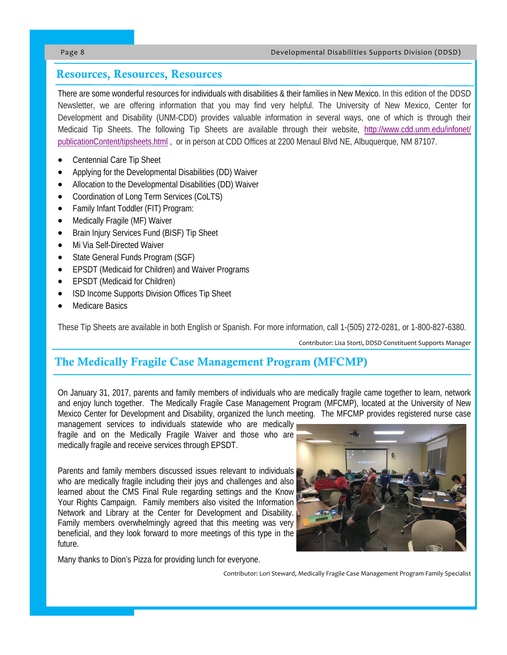## Resources, Resources, Resources

There are some wonderful resources for individuals with disabilities & their families in New Mexico. In this edition of the DDSD Newsletter, we are offering information that you may find very helpful. The University of New Mexico, Center for Development and Disability (UNM-CDD) provides valuable information in several ways, one of which is through their Medicaid Tip Sheets. The following Tip Sheets are available through their website, http://www.cdd.unm.edu/infonet/ publicationContent/tipsheets.html , or in person at CDD Offices at 2200 Menaul Blvd NE, Albuquerque, NM 87107.

- Centennial Care Tip Sheet
- Applying for the Developmental Disabilities (DD) Waiver
- Allocation to the Developmental Disabilities (DD) Waiver
- Coordination of Long Term Services (CoLTS)
- Family Infant Toddler (FIT) Program:
- Medically Fragile (MF) Waiver
- Brain Injury Services Fund (BISF) Tip Sheet
- Mi Via Self-Directed Waiver
- State General Funds Program (SGF)
- EPSDT (Medicaid for Children) and Waiver Programs
- EPSDT (Medicaid for Children)
- ISD Income Supports Division Offices Tip Sheet
- Medicare Basics

These Tip Sheets are available in both English or Spanish. For more information, call 1-(505) 272-0281, or 1-800-827-6380.

Contributor: Lisa Storti, DDSD Constituent Supports Manager

# The Medically Fragile Case Management Program (MFCMP)

On January 31, 2017, parents and family members of individuals who are medically fragile came together to learn, network and enjoy lunch together. The Medically Fragile Case Management Program (MFCMP), located at the University of New Mexico Center for Development and Disability, organized the lunch meeting. The MFCMP provides registered nurse case

management services to individuals statewide who are medically fragile and on the Medically Fragile Waiver and those who are medically fragile and receive services through EPSDT.

Parents and family members discussed issues relevant to individuals who are medically fragile including their joys and challenges and also learned about the CMS Final Rule regarding settings and the Know Your Rights Campaign. Family members also visited the Information Network and Library at the Center for Development and Disability. Family members overwhelmingly agreed that this meeting was very beneficial, and they look forward to more meetings of this type in the future.

Many thanks to Dion's Pizza for providing lunch for everyone.



Contributor: Lori Steward, Medically Fragile Case Management Program Family Specialist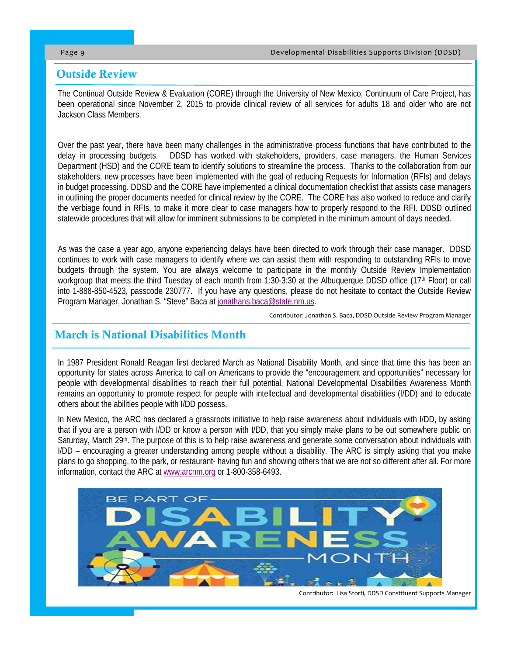#### Outside Review

The Continual Outside Review & Evaluation (CORE) through the University of New Mexico, Continuum of Care Project, has been operational since November 2, 2015 to provide clinical review of all services for adults 18 and older who are not Jackson Class Members.

Over the past year, there have been many challenges in the administrative process functions that have contributed to the delay in processing budgets. DDSD has worked with stakeholders, providers, case managers, the Human Services Department (HSD) and the CORE team to identify solutions to streamline the process. Thanks to the collaboration from our stakeholders, new processes have been implemented with the goal of reducing Requests for Information (RFIs) and delays in budget processing. DDSD and the CORE have implemented a clinical documentation checklist that assists case managers in outlining the proper documents needed for clinical review by the CORE. The CORE has also worked to reduce and clarify the verbiage found in RFIs, to make it more clear to case managers how to properly respond to the RFI. DDSD outlined statewide procedures that will allow for imminent submissions to be completed in the minimum amount of days needed.

As was the case a year ago, anyone experiencing delays have been directed to work through their case manager. DDSD continues to work with case managers to identify where we can assist them with responding to outstanding RFIs to move budgets through the system. You are always welcome to participate in the monthly Outside Review Implementation workgroup that meets the third Tuesday of each month from 1:30-3:30 at the Albuquerque DDSD office (17<sup>th</sup> Floor) or call into 1-888-850-4523, passcode 230777. If you have any questions, please do not hesitate to contact the Outside Review Program Manager, Jonathan S. "Steve" Baca at jonathans.baca@state.nm.us.

Contributor: Jonathan S. Baca, DDSD Outside Review Program Manager

### March is National Disabilities Month

In 1987 President Ronald Reagan first declared March as National Disability Month, and since that time this has been an opportunity for states across America to call on Americans to provide the "encouragement and opportunities" necessary for people with developmental disabilities to reach their full potential. National Developmental Disabilities Awareness Month remains an opportunity to promote respect for people with intellectual and developmental disabilities (I/DD) and to educate others about the abilities people with I/DD possess.

In New Mexico, the ARC has declared a grassroots initiative to help raise awareness about individuals with I/DD, by asking that if you are a person with I/DD or know a person with I/DD, that you simply make plans to be out somewhere public on Saturday, March 29<sup>th</sup>. The purpose of this is to help raise awareness and generate some conversation about individuals with I/DD – encouraging a greater understanding among people without a disability. The ARC is simply asking that you make plans to go shopping, to the park, or restaurant- having fun and showing others that we are not so different after all. For more information, contact the ARC at www.arcnm.org or 1-800-358-6493.



Contributor: Lisa Storti, DDSD Constituent Supports Manager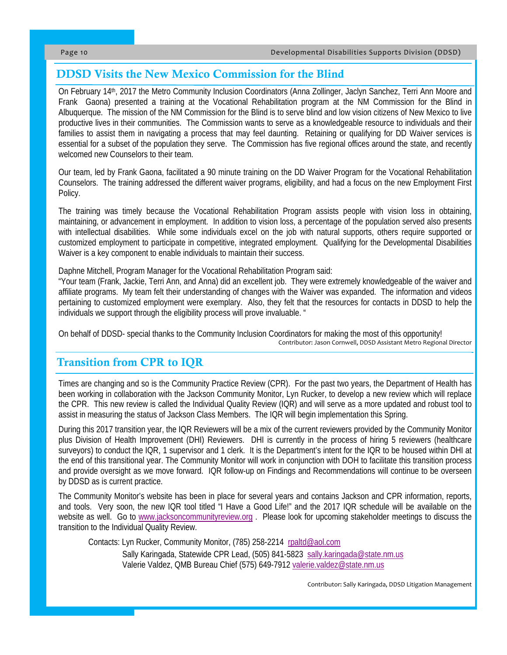## DDSD Visits the New Mexico Commission for the Blind

On February 14th, 2017 the Metro Community Inclusion Coordinators (Anna Zollinger, Jaclyn Sanchez, Terri Ann Moore and Frank Gaona) presented a training at the Vocational Rehabilitation program at the NM Commission for the Blind in Albuquerque. The mission of the NM Commission for the Blind is to serve blind and low vision citizens of New Mexico to live productive lives in their communities. The Commission wants to serve as a knowledgeable resource to individuals and their families to assist them in navigating a process that may feel daunting. Retaining or qualifying for DD Waiver services is essential for a subset of the population they serve. The Commission has five regional offices around the state, and recently welcomed new Counselors to their team.

Our team, led by Frank Gaona, facilitated a 90 minute training on the DD Waiver Program for the Vocational Rehabilitation Counselors. The training addressed the different waiver programs, eligibility, and had a focus on the new Employment First Policy.

The training was timely because the Vocational Rehabilitation Program assists people with vision loss in obtaining, maintaining, or advancement in employment. In addition to vision loss, a percentage of the population served also presents with intellectual disabilities. While some individuals excel on the job with natural supports, others require supported or customized employment to participate in competitive, integrated employment. Qualifying for the Developmental Disabilities Waiver is a key component to enable individuals to maintain their success.

Daphne Mitchell, Program Manager for the Vocational Rehabilitation Program said:

"Your team (Frank, Jackie, Terri Ann, and Anna) did an excellent job. They were extremely knowledgeable of the waiver and affiliate programs. My team felt their understanding of changes with the Waiver was expanded. The information and videos pertaining to customized employment were exemplary. Also, they felt that the resources for contacts in DDSD to help the individuals we support through the eligibility process will prove invaluable. "

On behalf of DDSD- special thanks to the Community Inclusion Coordinators for making the most of this opportunity! Contributor: Jason Cornwell, DDSD Assistant Metro Regional Director

## Transition from CPR to IQR

Times are changing and so is the Community Practice Review (CPR). For the past two years, the Department of Health has been working in collaboration with the Jackson Community Monitor, Lyn Rucker, to develop a new review which will replace the CPR. This new review is called the Individual Quality Review (IQR) and will serve as a more updated and robust tool to assist in measuring the status of Jackson Class Members. The IQR will begin implementation this Spring.

During this 2017 transition year, the IQR Reviewers will be a mix of the current reviewers provided by the Community Monitor plus Division of Health Improvement (DHI) Reviewers. DHI is currently in the process of hiring 5 reviewers (healthcare surveyors) to conduct the IQR, 1 supervisor and 1 clerk. It is the Department's intent for the IQR to be housed within DHI at the end of this transitional year. The Community Monitor will work in conjunction with DOH to facilitate this transition process and provide oversight as we move forward. IQR follow-up on Findings and Recommendations will continue to be overseen by DDSD as is current practice.

The Community Monitor's website has been in place for several years and contains Jackson and CPR information, reports, and tools. Very soon, the new IQR tool titled "I Have a Good Life!" and the 2017 IQR schedule will be available on the website as well. Go to www.jacksoncommunityreview.org . Please look for upcoming stakeholder meetings to discuss the transition to the Individual Quality Review.

Contacts: Lyn Rucker, Community Monitor, (785) 258-2214 rpaltd@aol.com

 Sally Karingada, Statewide CPR Lead, (505) 841-5823 sally.karingada@state.nm.us Valerie Valdez, QMB Bureau Chief (575) 649-7912 valerie.valdez@state.nm.us

Contributor: Sally Karingada, DDSD Litigation Management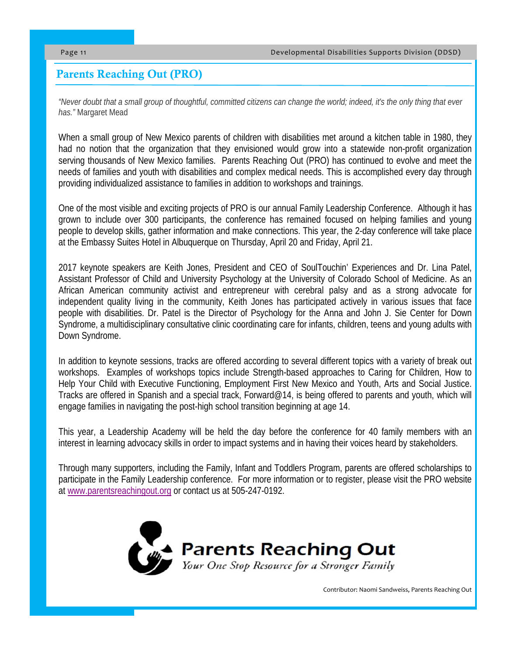## Parents Reaching Out (PRO)

*"Never doubt that a small group of thoughtful, committed citizens can change the world; indeed, it's the only thing that ever has."* Margaret Mead

When a small group of New Mexico parents of children with disabilities met around a kitchen table in 1980, they had no notion that the organization that they envisioned would grow into a statewide non-profit organization serving thousands of New Mexico families. Parents Reaching Out (PRO) has continued to evolve and meet the needs of families and youth with disabilities and complex medical needs. This is accomplished every day through providing individualized assistance to families in addition to workshops and trainings.

One of the most visible and exciting projects of PRO is our annual Family Leadership Conference. Although it has grown to include over 300 participants, the conference has remained focused on helping families and young people to develop skills, gather information and make connections. This year, the 2-day conference will take place at the Embassy Suites Hotel in Albuquerque on Thursday, April 20 and Friday, April 21.

2017 keynote speakers are Keith Jones, President and CEO of SoulTouchin' Experiences and Dr. Lina Patel, Assistant Professor of Child and University Psychology at the University of Colorado School of Medicine. As an African American community activist and entrepreneur with cerebral palsy and as a strong advocate for independent quality living in the community, Keith Jones has participated actively in various issues that face people with disabilities. Dr. Patel is the Director of Psychology for the Anna and John J. Sie Center for Down Syndrome, a multidisciplinary consultative clinic coordinating care for infants, children, teens and young adults with Down Syndrome.

In addition to keynote sessions, tracks are offered according to several different topics with a variety of break out workshops. Examples of workshops topics include Strength-based approaches to Caring for Children, How to Help Your Child with Executive Functioning, Employment First New Mexico and Youth, Arts and Social Justice. Tracks are offered in Spanish and a special track, Forward@14, is being offered to parents and youth, which will engage families in navigating the post-high school transition beginning at age 14.

This year, a Leadership Academy will be held the day before the conference for 40 family members with an interest in learning advocacy skills in order to impact systems and in having their voices heard by stakeholders.

Through many supporters, including the Family, Infant and Toddlers Program, parents are offered scholarships to participate in the Family Leadership conference. For more information or to register, please visit the PRO website at www.parentsreachingout.org or contact us at 505-247-0192.



Contributor: Naomi Sandweiss, Parents Reaching Out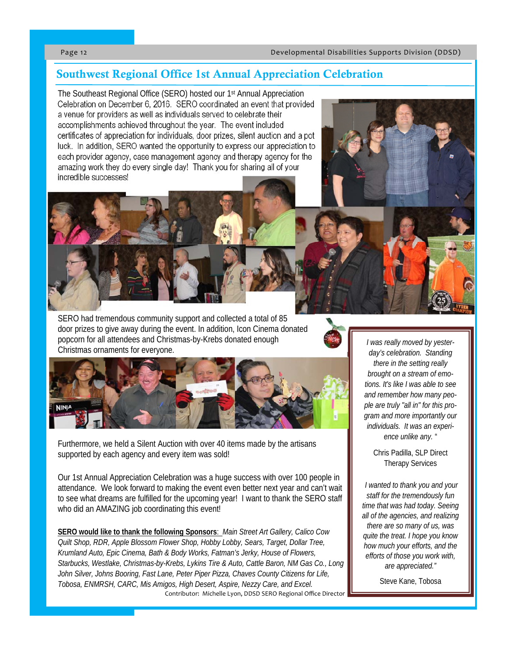## Southwest Regional Office 1st Annual Appreciation Celebration

The Southeast Regional Office (SERO) hosted our 1st Annual Appreciation Celebration on December 6, 2016. SERO coordinated an event that provided a venue for providers as well as individuals served to celebrate their accomplishments achieved throughout the year. The event included certificates of appreciation for individuals, door prizes, silent auction and a pot luck. In addition, SERO wanted the opportunity to express our appreciation to each provider agency, case management agency and therapy agency for the amazing work they do every single day! Thank you for sharing all of your incredible successes!

SERO had tremendous community support and collected a total of 85 door prizes to give away during the event. In addition, Icon Cinema donated popcorn for all attendees and Christmas-by-Krebs donated enough Christmas ornaments for everyone.



Furthermore, we held a Silent Auction with over 40 items made by the artisans supported by each agency and every item was sold!

Our 1st Annual Appreciation Celebration was a huge success with over 100 people in attendance. We look forward to making the event even better next year and can't wait to see what dreams are fulfilled for the upcoming year! I want to thank the SERO staff who did an AMAZING job coordinating this event!

**SERO would like to thank the following Sponsors**: *Main Street Art Gallery, Calico Cow Quilt Shop, RDR, Apple Blossom Flower Shop, Hobby Lobby, Sears, Target, Dollar Tree, Krumland Auto, Epic Cinema, Bath & Body Works, Fatman's Jerky, House of Flowers, Starbucks, Westlake, Christmas-by-Krebs, Lykins Tire & Auto, Cattle Baron, NM Gas Co., Long John Silver, Johns Booring, Fast Lane, Peter Piper Pizza, Chaves County Citizens for Life, Tobosa, ENMRSH, CARC, Mis Amigos, High Desert, Aspire, Nezzy Care, and Excel.*  Contributor: Michelle Lyon, DDSD SERO Regional Office Director

*I was really moved by yesterday's celebration. Standing there in the setting really brought on a stream of emotions. It's like I was able to see and remember how many people are truly "all in" for this program and more importantly our individuals. It was an experience unlike any.* "

Chris Padilla, SLP Direct Therapy Services

*I wanted to thank you and your staff for the tremendously fun time that was had today. Seeing all of the agencies, and realizing there are so many of us, was quite the treat. I hope you know how much your efforts, and the efforts of those you work with, are appreciated."* 

Steve Kane, Tobosa